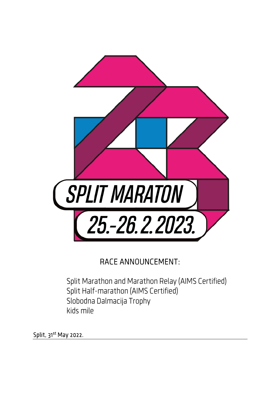

# RACE ANNOUNCEMENT:

Split Marathon and Marathon Relay (AIMS Certified) Split Half-marathon (AIMS Certified) Slobodna Dalmacija Trophy kids mile

Split, 31<sup>st</sup> May 2022.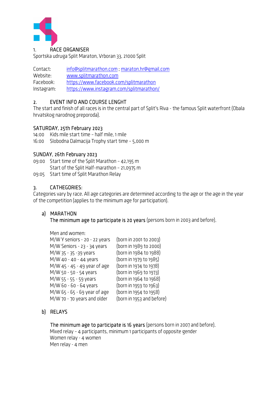

Sportska udruga Split Maraton, Vrboran 33, 21000 Split

Contact: info@splitmarathon.com ; maraton.hr@gmail.com Website: www.splitmarathon.com Facebook: https://www.facebook.com/splitmarathon Instagram: https://www.instagram.com/splitmarathon/

### 2. EVENT INFO AND COURSE LENGHT

The start and finish of all races is in the central part of Split's Riva - the famous Split waterfront (Obala hrvatskog narodnog preporoda).

### SATURDAY, 25th February 2023

14:00 Kids mile start time – half mile, 1 mile

16:00 Slobodna Dalmacija Trophy start time – 5,000 m

### SUNDAY, 26th February 2023

- 09:00 Start time of the Split Marathon 42,195 m Start of the Split Half-marathon – 21,0975 m
- 09:05 Start time of Split Marathon Relay

### 3. CATHEGORIES:

Categories vary by race. All age categories are determined according to the age or the age in the year of the competition (applies to the minimum age for participation).

### a) MARATHON

The minimum age to participate is 20 years (persons born in 2003 and before).

Men and women:

| M/W Y seniors - 20 - 22 years | (born in 2001 to 2003)    |
|-------------------------------|---------------------------|
| M/W Seniors - 23 - 34 years   | (born in 1989 to 2000)    |
| M/W 35 - 35 -39 years         | (born in 1984 to 1988)    |
| M/W 40 - 40 - 44 years        | (born in 1979 to 1985)    |
| M/W 45 - 45 - 49 year of age  | (born in 1974 to 1978)    |
| M/W 50 - 50 - 54 years        | (born in 1969 to 1973)    |
| M/W 55 - 55 - 59 years        | (born in 1964 to 1968)    |
| M/W 60 - 60 - 64 years        | (born in 1959 to 1963)    |
| M/W 65 - 65 - 69 year of age  | (born in 1954 to 1958)    |
| M/W 70 - 70 years and older   | (born in 1953 and before) |

# b) RELAYS

The minimum age to participate is 16 years (persons born in 2007 and before). Mixed relay – 4 participants, minimum 1 participants of opposite gender Women relay - 4 women Men relay - 4 men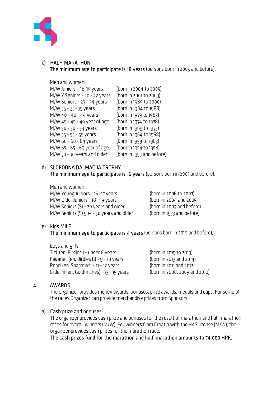

### c) HALF-MARATHON The minimum age to participate is 18 years (persons born in 2005 and before).

### Men and women:

| M/W Juniors - 18-19 years     | (born in 2004 to 2005)    |
|-------------------------------|---------------------------|
| M/W Y Seniors - 20 - 22 years | (born in 2001 to 2003)    |
| M/W Seniors - 23 - 34 years   | (born in 1989 to 2000)    |
| M/W 35 - 35 -39 years         | (born in 1984 to 1988)    |
| M/W 40 - 40 - 44 years        | (born in 1979 to 1983)    |
| M/W 45 - 45 - 49 year of age  | (born in 1974 to 1978)    |
| M/W 50 - 50 - 54 years        | (born in 1969 to 1973)    |
| M/W 55 - 55 - 59 years        | (born in 1964 to 1968)    |
| M/W 60 - 60 - 64 years        | (born in 1959 to 1963)    |
| M/W 65 - 65 - 69 year of age  | (born in 1954 to 1958)    |
| M/W 70 - 70 years and older   | (born in 1953 and before) |
|                               |                           |

# d) SLOBODNA DALMACIJA TROPHY

The minimum age to participate is 16 years (persons born in 2007 and before).

Men and women: M/W Young Juniors - 16 -17 years (born in 2006 to 2007) M/W Older Juniors - 18 - 19 years (born in 2004 and 2005) M/W Seniors (S) - 20 years and older (born in 2003 and before) M/W Seniors (S) 50+ - 50 years and older (born in 1973 and before)

# e) kids MILE

The minimum age to participate is 4 years (persons born in 2019 and before).

Boys and girls: Tići (en. Birdies ) - under 8 years (born in 2015 to 2019) Faganeli (en. Birdies B) -  $9$  - 10 years (born in 2013 and 2014) Repci (en. Sparrows) - 11 - 12 years (born in 2011 and 2012) Grdelini (en. Goldfinches) - 13 - 15 years (born in 2008, 2009 and 2010)

# 4. AWARDS

The organizer provides money awards, bonuses, prize awards, medals and cups. For some of the races Organizer can provide merchandise prizes from Sponsors.

### a) Cash prize and bonuses:

The organizer provides cash prize and bonuses for the result of marathon and half-marathon races for overall winners (M/W). For winners from Croatia with the HAS license (M/W), the organizer provides cash prizes for the marathon race.

The cash prizes fund for the marathon and half-marathon amounts to 74,000 HRK.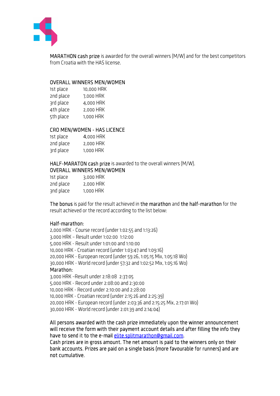

MARATHON cash prize is awarded for the overall winners (M/W) and for the best competitors from Croatia with the HAS license.

### OVERALL WINNERS MEN/WOMEN

| 1st place | 10,000 HRK |
|-----------|------------|
| 2nd place | 7,000 HRK  |
| 3rd place | 4,000 HRK  |
| 4th place | 2,000 HRK  |
| 5th place | 1,000 HRK  |

### CRO MEN/WOMEN - HAS LICENCE

| 1st place | 4,000 HRK |
|-----------|-----------|
| 2nd place | 2,000 HRK |
| 3rd place | 1,000 HRK |

HALF-MARATON cash prize is awarded to the overall winners (M/W). OVERALL WINNERS MEN/WOMEN

| 1st place | 3,000 HRK |
|-----------|-----------|
| 2nd place | 2,000 HRK |
| 3nd place | 1,000 HRK |

The bonus is paid for the result achieved in the marathon and the half-marathon for the result achieved or the record according to the list below:

### Half-marathon:

2,000 HRK - Course record (under 1:02:55 and 1:13:26) 3,000 HRK – Result under 1:02:00 1:12:00 5,000 HRK - Result under 1:01:00 and 1:10:00 10,000 HRK - Croatian record (under 1:03:47 and 1:09:16) 20,000 HRK - European record (under 59:26, 1:05:15 Mix, 1:05:18 Wo) 30,000 HRK - World record (under 57:32 and 1:02:52 Mix, 1:05:16 Wo) Marathon: 3,000 HRK –Result under 2:18:08 2:37:05 5,000 HRK - Record under 2:08:00 and 2:30:00 10,000 HRK - Record under 2:10:00 and 2:28:00 10,000 HRK - Croatian record (under 2:15:26 and 2:25:39) 20,000 HRK - European record (under 2:03:36 and 2:15:25 Mix, 2:17:01 Wo) 30,000 HRK - World record (under 2:01:39 and 2:14:04)

All persons awarded with the cash prize immediately upon the winner announcement will receive the form with their payment account details and after filling the info they have to send it to the e-mail elite.splitmarathon@gmail.com.

Cash prizes are in gross amount. The net amount is paid to the winners only on their bank accounts. Prizes are paid on a single basis (more favourable for runners) and are not cumulative.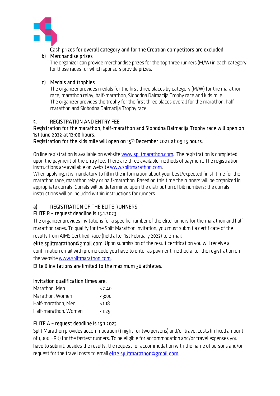

Cash prizes for overall category and for the Croatian competitors are excluded. b) Merchandise prizes

The organizer can provide merchandise prizes for the top three runners (M/W) in each category for those races for which sponsors provide prizes.

### c) Medals and trophies

The organizer provides medals for the first three places by category (M/W) for the marathon race, marathon relay, half-marathon, Slobodna Dalmacija Trophy race and kids mile. The organizer provides the trophy for the first three places overall for the marathon, halfmarathon and Slobodna Dalmacija Trophy race.

### 5. REGISTRATION AND ENTRY FEE

### Registration for the marathon, half-marathon and Slobodna Dalmacija Trophy race will open on 1st June 2022 at 12:00 hours.

Registration for the kids mile will open on 15<sup>th</sup> December 2022 at 09:15 hours.

On line registration is available on website www.splitmarathon.com. The registration is completed upon the payment of the entry fee. There are three available methods of payment. The registration instructions are available on website www.splitmarathon.com.

When applying, it is mandatory to fill in the information about your best/expected finish time for the marathon race, marathon relay or half-marathon. Based on this time the runners will be organized in appropriate corrals. Corrals will be determined upon the distribution of bib numbers; the corrals instructions will be included within instructions for runners.

# a) REGISTRATION OF THE ELITE RUNNERS

# ELITE B – request deadline is 15.1.2023.

The organizer provides invitations for a specific number of the elite runners for the marathon and halfmarathon races. To qualify for the Split Marathon invitation, you must submit a certificate of the results from AIMS Certified Race (held after 1st February 2022) to e-mail

elite.splitmarathon@gmail.com. Upon submission of the result certification you will receive a confirmation email with promo code you have to enter as payment method after the registration on the website www.splitmarathon.com.

Elite B invitations are limited to the maximum 30 athletes.

# Invitation qualification times are:

| Marathon, Men        | 2:40     |
|----------------------|----------|
| Marathon, Women      | 23:00    |
| Half-marathon, Men   | $1:18$   |
| Half-marathon, Women | $<$ 1:25 |

# ELITE A – request deadline is 15.1.2023.

Split Marathon provides accommodation (1 night for two persons) and/or travel costs (in fixed amount of 1,000 HRK) for the fastest runners. To be eligible for accommodation and/or travel expenses you have to submit, besides the results, the request for accommodation with the name of persons and/or request for the travel costs to email elite.splitmarathon@gmail.com.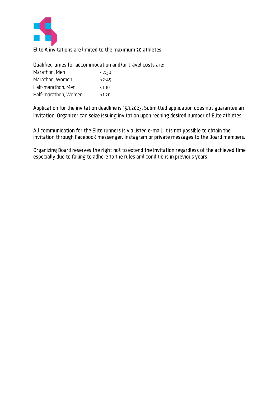

# Elite A invitations are limited to the maximum 20 athletes.

# Qualified times for accommodation and/or travel costs are:

| Marathon, Men        | 2:30  |
|----------------------|-------|
| Marathon, Women      | 2:45  |
| Half-marathon, Men   | <1:10 |
| Half-marathon, Women | <1:20 |

Application for the invitation deadline is 15.1.2023. Submitted application does not guarantee an invitation. Organizer can seize issuing invitation upon reching desired number of Elite athletes.

All communication for the Elite runners is via listed e-mail. It is not possible to obtain the invitation through Facebook messenger, Instagram or private messages to the Board members.

Organizing Board reserves the right not to extend the invitation regardless of the achieved time especially due to failing to adhere to the rules and conditions in previous years.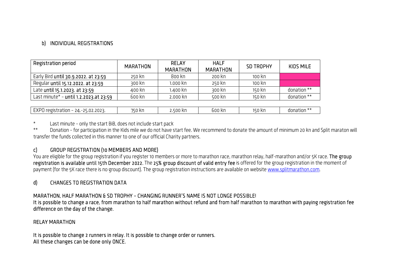# b) INDIVIDUAL REGISTRATIONS

| b) INDIVIDUAL REGISTRATIONS            |                 |                                 |                                |                  |             |
|----------------------------------------|-----------------|---------------------------------|--------------------------------|------------------|-------------|
|                                        |                 |                                 |                                |                  |             |
| Registration period                    | <b>MARATHON</b> | <b>RELAY</b><br><b>MARATHON</b> | <b>HALF</b><br><b>MARATHON</b> | <b>SD TROPHY</b> | KIDS MILE   |
| Early Bird until 30.9.2022. at 23:59   | 250 kn          | 800 kn                          | 200 kn                         | 100 kn           |             |
| Regular until 15.12.2022. at 23:59     | 300 kn          | 1.000 kn                        | 250 kn                         | 100 kn           |             |
| Late until 15.1.2023. at 23:59         | 400 kn          | 1.400 kn                        | 300 kn                         | 150 kn           | donation ** |
| Last minute* - until 1.2.2023.at 23:59 | 600 kn          | 2.000 kn                        | 500 kn                         | 150 kn           | donation ** |
|                                        |                 |                                 |                                |                  |             |
| EXPO registration - 24.-25.02.2023.    | 750 Kn          | 2.500 kn                        | 600 kn                         | 150 kn           | donation ** |

\* Last minute – only the start BiB, does not include start pack

\*\* Donation – for participation in the Kids mile we do not have start fee. We recommend to donate the amount of minimum 20 kn and Split maraton will transfer the funds collected in this manner to one of our official Charity partners.<br> **c)** GROUP REGISTRATION (10 MEMBERS AND MORE)

You are eligible for the group registration if you register 10 members or more to marathon race, marathon relay, half-marathon and/or 5K race. The group<br>registration is available until 15th December 2022. The 25% group dis payment (for the 5K race there is no group discount). The group registration instructions are available on website <u>www.splitmarathon.com</u>.<br>**d) CHANGES TO REGISTRATION DATA** 

MARATHON, HALF MARATHON & SD TROPHY – CHANGING RUNNER'S NAME IS NOT LONGE POSSIBLE!<br>It is possible to change a race, from marathon to half marathon without refund and from half marathon to marathon with paying registration

difference on the day of the change.<br>RELAY MARATHON<br>It is possible to change 2 runners in relay. It is possible to change order or runners.<br>All these changes can be done only ONCE.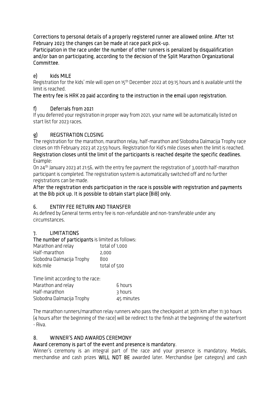Corrections to personal details of a properly registered runner are allowed online. After 1st February 2023 the changes can be made at race pack pick-up.

Participation in the race under the number of other runners is penalized by disqualification and/or ban on participating, according to the decision of the Split Marathon Organizational Committee.

# e) kids MILE

Registration for the kids' mile will open on 15<sup>th</sup> December 2022 at 09:15 hours and is available until the limit is reached.

# The entry fee is HRK 20 paid according to the instruction in the email upon registration.

# f) Deferrals from 2021

If you deferred your registration in proper way from 2021, your name will be automatically listed on start list for 2023 races.

# g) REGISTRATION CLOSING

The registration for the marathon, marathon relay, half-marathon and Slobodna Dalmacija Trophy race closes on 1th February 2023 at 23:59 hours. Registration for Kid's mile closes when the limit is reached. Registration closes until the limit of the participants is reached despite the specific deadlines. Example:

On 24th January 2023 at 21:56, with the entry fee payment the registration of 3,000th half-marathon participant is completed. The registration system is automatically switched off and no further registrations can be made.

### After the registration ends participation in the race is possible with registration and payments at the Bib pick up. It is possible to obtain start place (BiB) only.

# 6. ENTRY FEE RETURN AND TRANSFER

As defined by General terms entry fee is non-refundable and non-transferable under any circumstances.

# 7. LIMITATIONS

# The number of participants is limited as follows:

| Marathon and relay        | total of 1,000 |
|---------------------------|----------------|
| Half-marathon             | 2.000          |
| Slobodna Dalmacija Trophy | 800            |
| kids mile                 | total of 500   |

| Time limit according to the race: |            |
|-----------------------------------|------------|
| Marathon and relay                | 6 hours    |
| Half-marathon                     | 3 hours    |
| Slobodna Dalmacija Trophy         | 45 minutes |

The marathon runners/marathon relay runners who pass the checkpoint at 30th km after 11:30 hours (4 hours after the beginning of the race) will be redirect to the finish at the beginning of the waterfront - Riva.

# 8. WINNER'S AND AWARDS CEREMONY

# Award ceremony is part of the event and presence is mandatory.

Winner's ceremony is an integral part of the race and your presence is mandatory. Medals, merchandise and cash prizes WILL NOT BE awarded later. Merchandise (per category) and cash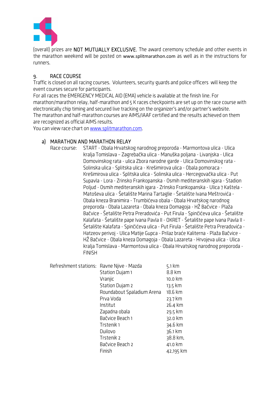

(overall) prizes are NOT MUTUALLY EXCLUSIVE. The award ceremony schedule and other events in the marathon weekend will be posted on www.splitmarathon.com as well as in the instructions for runners.

# 9. RACE COURSE

Traffic is closed on all racing courses. Volunteers, security guards and police officers will keep the event courses secure for participants.

For all races the EMERGENCY MEDICAL AID (EMA) vehicle is available at the finish line. For marathon/marathon relay, half-marathon and 5 K races checkpoints are set up on the race course with electronically chip timing and secured live tracking on the organizer's and/or partner's website. The marathon and half-marathon courses are AIMS/IAAF certified and the results achieved on them are recognized as official AIMS results.

You can view race chart on www.splitmarathon.com.

# a) MARATHON AND MARATHON RELAY

Race course: START - Obala Hrvatskog narodnog preporoda - Marmontova ulica - Ulica kralja Tomislava – Zagrebačka ulica - Manuška poljana - Livanjska - Ulica Domovinskog rata - ulica Zbora narodne garde - Ulica Domovinskog rata - Solinska ulica - Splitska ulica - Krešimirova ulica - Obala pomoraca - Krešimirova ulica - Splitska ulica - Solinska ulica - Hercegovačka ulica - Put Supavla - Lora - Zrinsko Frankopanska - Osmih mediteranskih igara - Stadion Poljud - Osmih mediteranskih igara - ZrInsko Frankopanska - Ulica 7 Kaštela - Matoševa ulica - Šetalište Marina Tartaglie - Šetalište Ivana Meštrovića - Obala kneza Branimira - Trumbićeva obala - Obala Hrvatskog narodnog preporoda - Obala Lazareta - Obala kneza Domagoja - HŽ Bačvice - Plaža Bačvice - Šetalište Petra Preradovića - Put Firula - Spinčićeva ulica - Šetalište Kalafata - Šetalište pape Ivana Pavla II - OKRET - Šetalište pape Ivana Pavla II - Šetalište Kalafata - Spinčićeva ulica - Put Firula - Šetalište Petra Preradovića - Hatzeov perivoj - Ulica Matije Gupca - Prilaz braće Kaliterna - Plaža Bačvice - HŽ Bačvice - Obala kneza Domagoja - Obala Lazareta - Hrvojeva ulica - Ulica kralja Tomislava - Marmontova ulica - Obala Hrvatskog narodnog preporoda - FINISH

| Refreshment stations: Ravne Njive - Mazda |                            | 5.1 km    |
|-------------------------------------------|----------------------------|-----------|
|                                           | Station Dujam 1            | 8.8 km    |
|                                           | Vranjic                    | 10.0 km   |
|                                           | Station Dujam 2            | 13.5 km   |
|                                           | Roundabout Spaladium Arena | 18.6 km   |
|                                           | Prva Voda                  | 23.7 km   |
|                                           | Institut                   | 26.4 km   |
|                                           | Zapadna obala              | 29.5 km   |
|                                           | Bačvice Beach 1            | 32.0 km   |
|                                           | Trstenik 1                 | 34.6 km   |
|                                           | Duilovo                    | 36.1 km   |
|                                           | Trstenik 2                 | 38.8 km,  |
|                                           | Bačvice Beach 2            | 41.0 km   |
|                                           | Finish                     | 42,195 km |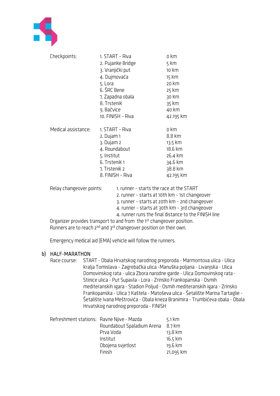

| Checkpoints:             | 1. START - Riva                          | o km               |
|--------------------------|------------------------------------------|--------------------|
|                          | 2. Pujanke Bridge                        | 5 km               |
|                          | 3. Vranjički put                         | 10 km              |
|                          | 4. Dujmovača                             | 15 km              |
|                          | 5. Lora                                  | 20 km              |
|                          | 6. ŠRC Bene                              | 25 km              |
|                          | 7. Zapadna obala                         | 30 km              |
|                          | 8. Trstenik                              | 35 km              |
|                          | 9. Bačvice                               | 40 km              |
|                          | 10. FINISH - Riva                        | 42.195 km          |
|                          |                                          |                    |
| Medical assistance:      | 1. START - Riva                          | o km               |
|                          | 2. Dujam 1                               | 8.8 km             |
|                          | 3. Dujam 2                               | 13.5 km<br>18.6 km |
|                          | 4. Roundabout                            |                    |
|                          | 5. Institut                              | 26.4 km<br>34.6 km |
|                          | 6. Trstenik 1<br>7. Trstenik 2           |                    |
|                          |                                          |                    |
|                          | 8. FINISH - Riva                         | 42.195 km          |
| Relay changeover points: | 1. runner - starts the race at the START |                    |
|                          | , runnor -tarts at 10th Um -1st shang    |                    |

 2. runner – starts at 10th km – 1st changeover 3. runner – starts at 20th km – 2nd changeover 4. runner – starts at 30th km – 3rd changeover 4. runner runs the final distance to the FINISH line

Organizer provides transport to and from the 1st changeover position. Runners are to reach 2<sup>nd</sup> and 3<sup>rd</sup> changeover position on their own.

Emergency medical aid (EMA) vehicle will follow the runners.

# b) HALF-MARATHON

Race course: START - Obala Hrvatskog narodnog preporoda - Marmontova ulica - Ulica kralja Tomislava – Zagrebačka ulica -Manuška poljana - Livanjska - Ulica Domovinskog rata - ulica Zbora narodne garde - Ulica Domovinskog rata - Stinice ulica - Put Supavla - Lora - Zrinsko Frankopanska - Osmih mediteranskih igara - Stadion Poljud - Osmih mediteranskih igara - ZrInsko Frankopanska - Ulica 7 Kaštela - Matoševa ulica - Šetalište Marina Tartaglie - Šetalište Ivana Meštrovića - Obala kneza Branimira - Trumbićeva obala - Obala Hrvatskog narodnog preporoda - FINISH

| Refreshment stations: Ravne Njive - Mazda | $5.1 \text{ km}$ |
|-------------------------------------------|------------------|
| Roundabout Spaladium Arena                | $8.7 \text{ km}$ |
| Prva Voda                                 | 13.8 km          |
| Institut                                  | 16.5 km          |
| Obojena svjetlost                         | 19.6 km          |
| Finish                                    | 21,095 km        |
|                                           |                  |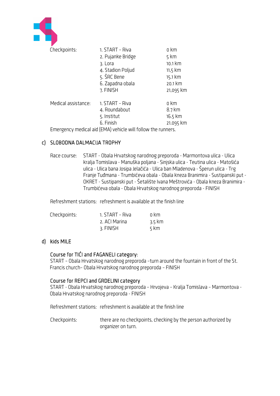

### c) SLOBODNA DALMACIJA TROPHY

Race course: START - Obala Hrvatskog narodnog preporoda - Marmontova ulica - Ulica kralja Tomislava - Manuška poljana - Sinjska ulica - Teutina ulica - Matošića ulica - Ulica bana Josipa Jelačića - Ulica ban Mladenova - Šperun ulica - Trg Franje Tuđmana - Trumbićeva obala - Obala kneza Branimira - Sustipanski put - OKRET - Sustipanski put - Šetalište Ivana Meštrovića - Obala kneza Branimira - Trumbićeva obala - Obala Hrvatskog narodnog preporoda - FINISH

Refreshment stations: refreshment is available at the finish line

| Checkpoints: | 1. START - Riva | n km   |
|--------------|-----------------|--------|
|              | 2. ACI Marina   | 3.5 km |
|              | 3. FINISH       | 5 km   |

### d) kids MILE

### Course for TIĆI and FAGANELI category:

START – Obala Hrvatskog narodnog preporoda –turn around the fountain in front of the St. Francis church– Obala Hrvatskog narodnog preporoda – FINISH

### Course for REPCI and GRDELINI category

START - Obala Hrvatskog narodnog preporoda – Hrvojeva – Kralja Tomislava – Marmontova - Obala Hrvatskog narodnog preporoda - FINISH

Refreshment stations: refreshment is available at the finish line

Checkpoints: there are no checkpoints, checking by the person authorized by organizer on turn.